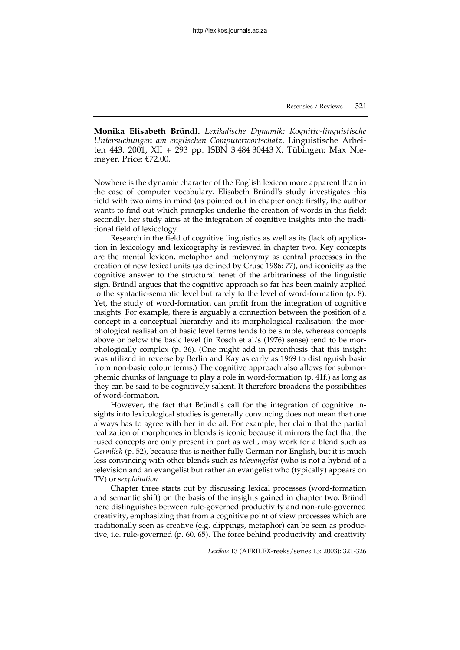**Monika Elisabeth Bründl.** *Lexikalische Dynamik: Kognitiv-linguistische Untersuchungen am englischen Computerwortschatz*. Linguistische Arbeiten 443. 2001, XII + 293 pp. ISBN 3 484 30443 X. Tübingen: Max Niemeyer. Price: €72.00.

Nowhere is the dynamic character of the English lexicon more apparent than in the case of computer vocabulary. Elisabeth Bründl's study investigates this field with two aims in mind (as pointed out in chapter one): firstly, the author wants to find out which principles underlie the creation of words in this field; secondly, her study aims at the integration of cognitive insights into the traditional field of lexicology.

Research in the field of cognitive linguistics as well as its (lack of) application in lexicology and lexicography is reviewed in chapter two. Key concepts are the mental lexicon, metaphor and metonymy as central processes in the creation of new lexical units (as defined by Cruse 1986: 77), and iconicity as the cognitive answer to the structural tenet of the arbitrariness of the linguistic sign. Bründl argues that the cognitive approach so far has been mainly applied to the syntactic-semantic level but rarely to the level of word-formation (p. 8). Yet, the study of word-formation can profit from the integration of cognitive insights. For example, there is arguably a connection between the position of a concept in a conceptual hierarchy and its morphological realisation: the morphological realisation of basic level terms tends to be simple, whereas concepts above or below the basic level (in Rosch et al.'s (1976) sense) tend to be morphologically complex (p. 36). (One might add in parenthesis that this insight was utilized in reverse by Berlin and Kay as early as 1969 to distinguish basic from non-basic colour terms.) The cognitive approach also allows for submorphemic chunks of language to play a role in word-formation (p. 41f.) as long as they can be said to be cognitively salient. It therefore broadens the possibilities of word-formation.

However, the fact that Bründl's call for the integration of cognitive insights into lexicological studies is generally convincing does not mean that one always has to agree with her in detail. For example, her claim that the partial realization of morphemes in blends is iconic because it mirrors the fact that the fused concepts are only present in part as well, may work for a blend such as *Germlish* (p. 52), because this is neither fully German nor English, but it is much less convincing with other blends such as *televangelist* (who is not a hybrid of a television and an evangelist but rather an evangelist who (typically) appears on TV) or *sexploitation*.

Chapter three starts out by discussing lexical processes (word-formation and semantic shift) on the basis of the insights gained in chapter two. Bründl here distinguishes between rule-governed productivity and non-rule-governed creativity, emphasizing that from a cognitive point of view processes which are traditionally seen as creative (e.g. clippings, metaphor) can be seen as productive, i.e. rule-governed (p. 60, 65). The force behind productivity and creativity

*Lexikos* 13 (AFRILEX-reeks/series 13: 2003): 321-326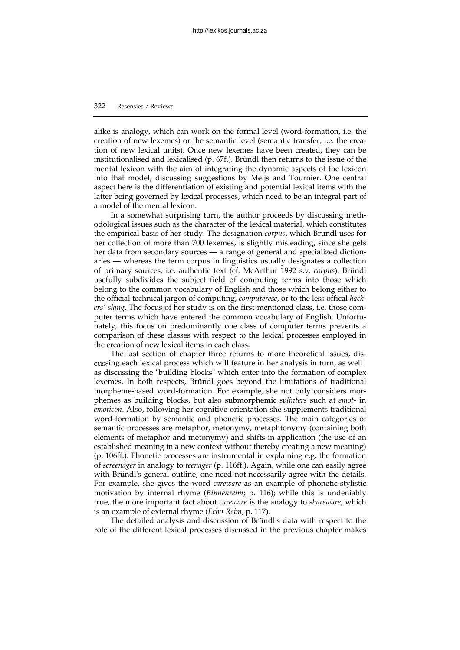## 322 Resensies / Reviews

alike is analogy, which can work on the formal level (word-formation, i.e. the creation of new lexemes) or the semantic level (semantic transfer, i.e. the creation of new lexical units). Once new lexemes have been created, they can be institutionalised and lexicalised (p. 67f.). Bründl then returns to the issue of the mental lexicon with the aim of integrating the dynamic aspects of the lexicon into that model, discussing suggestions by Meijs and Tournier. One central aspect here is the differentiation of existing and potential lexical items with the latter being governed by lexical processes, which need to be an integral part of a model of the mental lexicon.

In a somewhat surprising turn, the author proceeds by discussing methodological issues such as the character of the lexical material, which constitutes the empirical basis of her study. The designation *corpus*, which Bründl uses for her collection of more than 700 lexemes, is slightly misleading, since she gets her data from secondary sources — a range of general and specialized dictionaries — whereas the term corpus in linguistics usually designates a collection of primary sources, i.e. authentic text (cf. McArthur 1992 s.v. *corpus*). Bründl usefully subdivides the subject field of computing terms into those which belong to the common vocabulary of English and those which belong either to the official technical jargon of computing, *computerese*, or to the less offical *hackers' slang*. The focus of her study is on the first-mentioned class, i.e. those computer terms which have entered the common vocabulary of English. Unfortunately, this focus on predominantly one class of computer terms prevents a comparison of these classes with respect to the lexical processes employed in the creation of new lexical items in each class.

The last section of chapter three returns to more theoretical issues, discussing each lexical process which will feature in her analysis in turn, as well as discussing the "building blocks" which enter into the formation of complex lexemes. In both respects, Bründl goes beyond the limitations of traditional morpheme-based word-formation. For example, she not only considers morphemes as building blocks, but also submorphemic *splinters* such at *emot-* in *emoticon*. Also, following her cognitive orientation she supplements traditional word-formation by semantic and phonetic processes. The main categories of semantic processes are metaphor, metonymy, metaphtonymy (containing both elements of metaphor and metonymy) and shifts in application (the use of an established meaning in a new context without thereby creating a new meaning) (p. 106ff.). Phonetic processes are instrumental in explaining e.g. the formation of *screenager* in analogy to *teenager* (p. 116ff.). Again, while one can easily agree with Bründl's general outline, one need not necessarily agree with the details. For example, she gives the word *careware* as an example of phonetic-stylistic motivation by internal rhyme (*Binnenreim*; p. 116); while this is undeniably true, the more important fact about *careware* is the analogy to *shareware*, which is an example of external rhyme (*Echo-Reim*; p. 117).

The detailed analysis and discussion of Bründl's data with respect to the role of the different lexical processes discussed in the previous chapter makes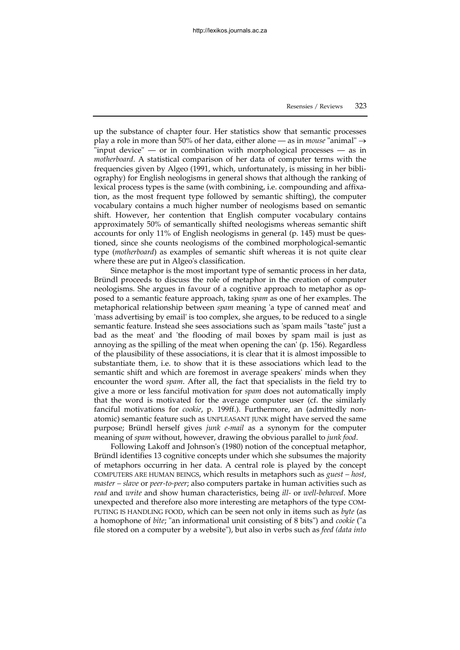up the substance of chapter four. Her statistics show that semantic processes play a role in more than 50% of her data, either alone — as in *mouse* "animal" → "input device" — or in combination with morphological processes — as in *motherboard*. A statistical comparison of her data of computer terms with the frequencies given by Algeo (1991, which, unfortunately, is missing in her bibliography) for English neologisms in general shows that although the ranking of lexical process types is the same (with combining, i.e. compounding and affixation, as the most frequent type followed by semantic shifting), the computer vocabulary contains a much higher number of neologisms based on semantic shift. However, her contention that English computer vocabulary contains approximately 50% of semantically shifted neologisms whereas semantic shift accounts for only 11% of English neologisms in general (p. 145) must be questioned, since she counts neologisms of the combined morphological-semantic type (*motherboard*) as examples of semantic shift whereas it is not quite clear where these are put in Algeo's classification.

Since metaphor is the most important type of semantic process in her data, Bründl proceeds to discuss the role of metaphor in the creation of computer neologisms. She argues in favour of a cognitive approach to metaphor as opposed to a semantic feature approach, taking *spam* as one of her examples. The metaphorical relationship between *spam* meaning 'a type of canned meat' and 'mass advertising by email' is too complex, she argues, to be reduced to a single semantic feature. Instead she sees associations such as 'spam mails "taste" just a bad as the meat' and 'the flooding of mail boxes by spam mail is just as annoying as the spilling of the meat when opening the can' (p. 156). Regardless of the plausibility of these associations, it is clear that it is almost impossible to substantiate them, i.e. to show that it is these associations which lead to the semantic shift and which are foremost in average speakers' minds when they encounter the word *spam*. After all, the fact that specialists in the field try to give a more or less fanciful motivation for *spam* does not automatically imply that the word is motivated for the average computer user (cf. the similarly fanciful motivations for *cookie*, p. 199ff.). Furthermore, an (admittedly nonatomic) semantic feature such as UNPLEASANT JUNK might have served the same purpose; Bründl herself gives *junk e-mail* as a synonym for the computer meaning of *spam* without, however, drawing the obvious parallel to *junk food*.

Following Lakoff and Johnson's (1980) notion of the conceptual metaphor, Bründl identifies 13 cognitive concepts under which she subsumes the majority of metaphors occurring in her data. A central role is played by the concept COMPUTERS ARE HUMAN BEINGS, which results in metaphors such as *guest – host, master – slave* or *peer-to-peer*; also computers partake in human activities such as *read* and *write* and show human characteristics, being *ill-* or *well-behaved*. More unexpected and therefore also more interesting are metaphors of the type COM-PUTING IS HANDLING FOOD, which can be seen not only in items such as *byte* (as a homophone of *bite*; "an informational unit consisting of 8 bits") and *cookie* ("a file stored on a computer by a website"), but also in verbs such as *feed (data into*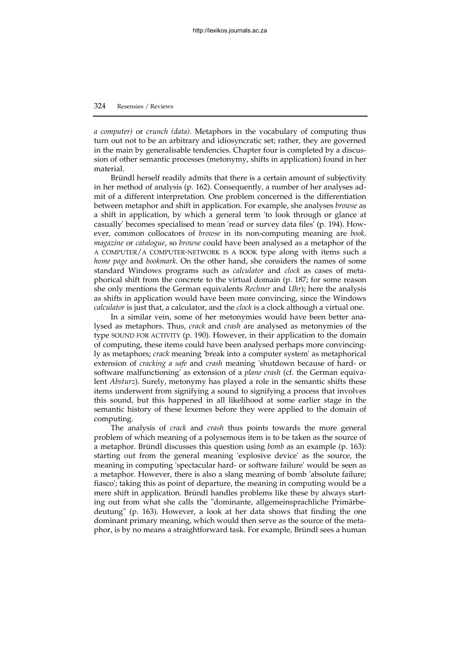## 324 Resensies / Reviews

*a computer)* or *crunch (data)*. Metaphors in the vocabulary of computing thus turn out not to be an arbitrary and idiosyncratic set; rather, they are governed in the main by generalisable tendencies. Chapter four is completed by a discussion of other semantic processes (metonymy, shifts in application) found in her material.

Bründl herself readily admits that there is a certain amount of subjectivity in her method of analysis (p. 162). Consequently, a number of her analyses admit of a different interpretation. One problem concerned is the differentiation between metaphor and shift in application. For example, she analyses *browse* as a shift in application, by which a general term 'to look through or glance at casually' becomes specialised to mean 'read or survey data files' (p. 194). However, common collocators of *browse* in its non-computing meaning are *book, magazine* or *catalogue*, so *browse* could have been analysed as a metaphor of the A COMPUTER/A COMPUTER-NETWORK IS A BOOK type along with items such a *home page* and *bookmark*. On the other hand, she considers the names of some standard Windows programs such as *calculator* and *clock* as cases of metaphorical shift from the concrete to the virtual domain (p. 187; for some reason she only mentions the German equivalents *Rechner* and *Uhr*); here the analysis as shifts in application would have been more convincing, since the Windows *calculator* is just that, a calculator, and the *clock* is a clock although a virtual one.

In a similar vein, some of her metonymies would have been better analysed as metaphors. Thus, *crack* and *crash* are analysed as metonymies of the type SOUND FOR ACTIVITY (p. 190). However, in their application to the domain of computing, these items could have been analysed perhaps more convincingly as metaphors; *crack* meaning 'break into a computer system' as metaphorical extension of *cracking a safe* and *crash* meaning 'shutdown because of hard- or software malfunctioning' as extension of a *plane crash* (cf. the German equivalent *Absturz*). Surely, metonymy has played a role in the semantic shifts these items underwent from signifying a sound to signifying a process that involves this sound, but this happened in all likelihood at some earlier stage in the semantic history of these lexemes before they were applied to the domain of computing.

The analysis of *crack* and *crash* thus points towards the more general problem of which meaning of a polysemous item is to be taken as the source of a metaphor. Bründl discusses this question using *bomb* as an example (p. 163): starting out from the general meaning 'explosive device' as the source, the meaning in computing 'spectacular hard- or software failure' would be seen as a metaphor. However, there is also a slang meaning of bomb 'absolute failure; fiasco'; taking this as point of departure, the meaning in computing would be a mere shift in application. Bründl handles problems like these by always starting out from what she calls the "dominante, allgemeinsprachliche Primärbedeutung" (p. 163). However, a look at her data shows that finding the one dominant primary meaning, which would then serve as the source of the metaphor, is by no means a straightforward task. For example, Bründl sees a human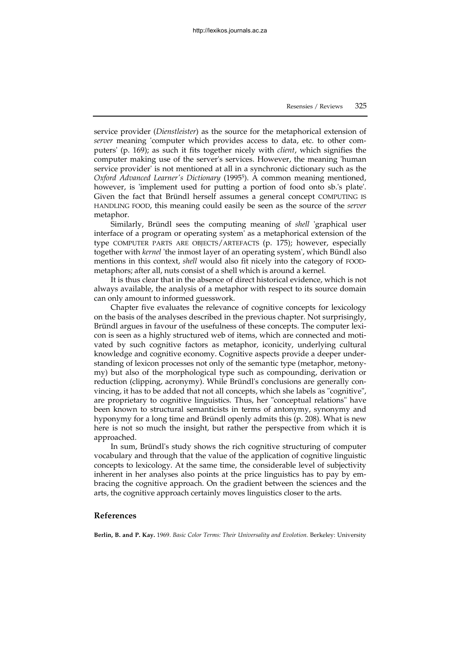service provider (*Dienstleister*) as the source for the metaphorical extension of *server* meaning 'computer which provides access to data, etc. to other computers' (p. 169); as such it fits together nicely with *client*, which signifies the computer making use of the server's services. However, the meaning 'human service provider' is not mentioned at all in a synchronic dictionary such as the *Oxford Advanced Learner's Dictionary* (19955). A common meaning mentioned, however, is 'implement used for putting a portion of food onto sb.'s plate'. Given the fact that Bründl herself assumes a general concept COMPUTING IS HANDLING FOOD, this meaning could easily be seen as the source of the *server* metaphor.

Similarly, Bründl sees the computing meaning of *shell* 'graphical user interface of a program or operating system' as a metaphorical extension of the type COMPUTER PARTS ARE OBJECTS/ARTEFACTS (p. 175); however, especially together with *kernel* 'the inmost layer of an operating system', which Bündl also mentions in this context, *shell* would also fit nicely into the category of FOODmetaphors; after all, nuts consist of a shell which is around a kernel.

It is thus clear that in the absence of direct historical evidence, which is not always available, the analysis of a metaphor with respect to its source domain can only amount to informed guesswork.

Chapter five evaluates the relevance of cognitive concepts for lexicology on the basis of the analyses described in the previous chapter. Not surprisingly, Bründl argues in favour of the usefulness of these concepts. The computer lexicon is seen as a highly structured web of items, which are connected and motivated by such cognitive factors as metaphor, iconicity, underlying cultural knowledge and cognitive economy. Cognitive aspects provide a deeper understanding of lexicon processes not only of the semantic type (metaphor, metonymy) but also of the morphological type such as compounding, derivation or reduction (clipping, acronymy). While Bründl's conclusions are generally convincing, it has to be added that not all concepts, which she labels as "cognitive", are proprietary to cognitive linguistics. Thus, her "conceptual relations" have been known to structural semanticists in terms of antonymy, synonymy and hyponymy for a long time and Bründl openly admits this (p. 208). What is new here is not so much the insight, but rather the perspective from which it is approached.

In sum, Bründl's study shows the rich cognitive structuring of computer vocabulary and through that the value of the application of cognitive linguistic concepts to lexicology. At the same time, the considerable level of subjectivity inherent in her analyses also points at the price linguistics has to pay by embracing the cognitive approach. On the gradient between the sciences and the arts, the cognitive approach certainly moves linguistics closer to the arts.

## **References**

**Berlin, B. and P. Kay.** 1969. *Basic Color Terms: Their Universality and Evolotion*. Berkeley: University